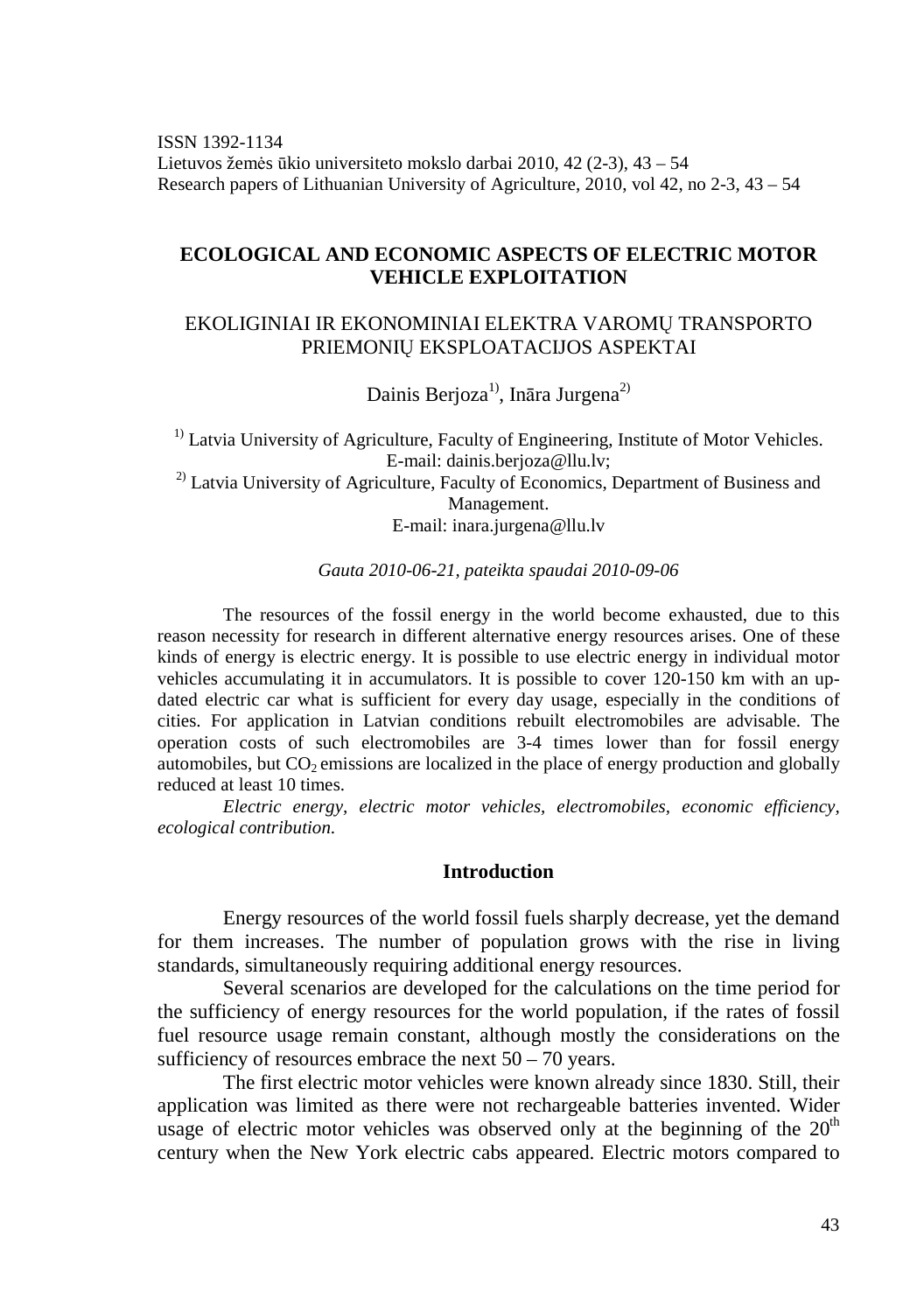ISSN 1392-1134 Lietuvos žemės ūkio universiteto mokslo darbai 2010, 42 (2-3), 43 – 54 Research papers of Lithuanian University of Agriculture, 2010, vol 42, no 2-3, 43 – 54

# **ECOLOGICAL AND ECONOMIC ASPECTS OF ELECTRIC MOTOR VEHICLE EXPLOITATION**

# EKOLIGINIAI IR EKONOMINIAI ELEKTRA VAROMŲ TRANSPORTO PRIEMONIŲ EKSPLOATACIJOS ASPEKTAI

Dainis Berjoza<sup>1)</sup>, Ināra Jurgena<sup>2)</sup>

<sup>1)</sup> Latvia University of Agriculture, Faculty of Engineering, Institute of Motor Vehicles. E-mail: dainis.berjoza@llu.lv; <sup>2)</sup> Latvia University of Agriculture, Faculty of Economics, Department of Business and Management.

E-mail: inara.jurgena@llu.lv

#### *Gauta 2010-06-21, pateikta spaudai 2010-09-06*

The resources of the fossil energy in the world become exhausted, due to this reason necessity for research in different alternative energy resources arises. One of these kinds of energy is electric energy. It is possible to use electric energy in individual motor vehicles accumulating it in accumulators. It is possible to cover 120-150 km with an updated electric car what is sufficient for every day usage, especially in the conditions of cities. For application in Latvian conditions rebuilt electromobiles are advisable. The operation costs of such electromobiles are 3-4 times lower than for fossil energy automobiles, but  $CO<sub>2</sub>$  emissions are localized in the place of energy production and globally reduced at least 10 times.

*Electric energy, electric motor vehicles, electromobiles, economic efficiency, ecological contribution.* 

### **Introduction**

Energy resources of the world fossil fuels sharply decrease, yet the demand for them increases. The number of population grows with the rise in living standards, simultaneously requiring additional energy resources.

Several scenarios are developed for the calculations on the time period for the sufficiency of energy resources for the world population, if the rates of fossil fuel resource usage remain constant, although mostly the considerations on the sufficiency of resources embrace the next  $50 - 70$  years.

The first electric motor vehicles were known already since 1830. Still, their application was limited as there were not rechargeable batteries invented. Wider usage of electric motor vehicles was observed only at the beginning of the  $20<sup>th</sup>$ century when the New York electric cabs appeared. Electric motors compared to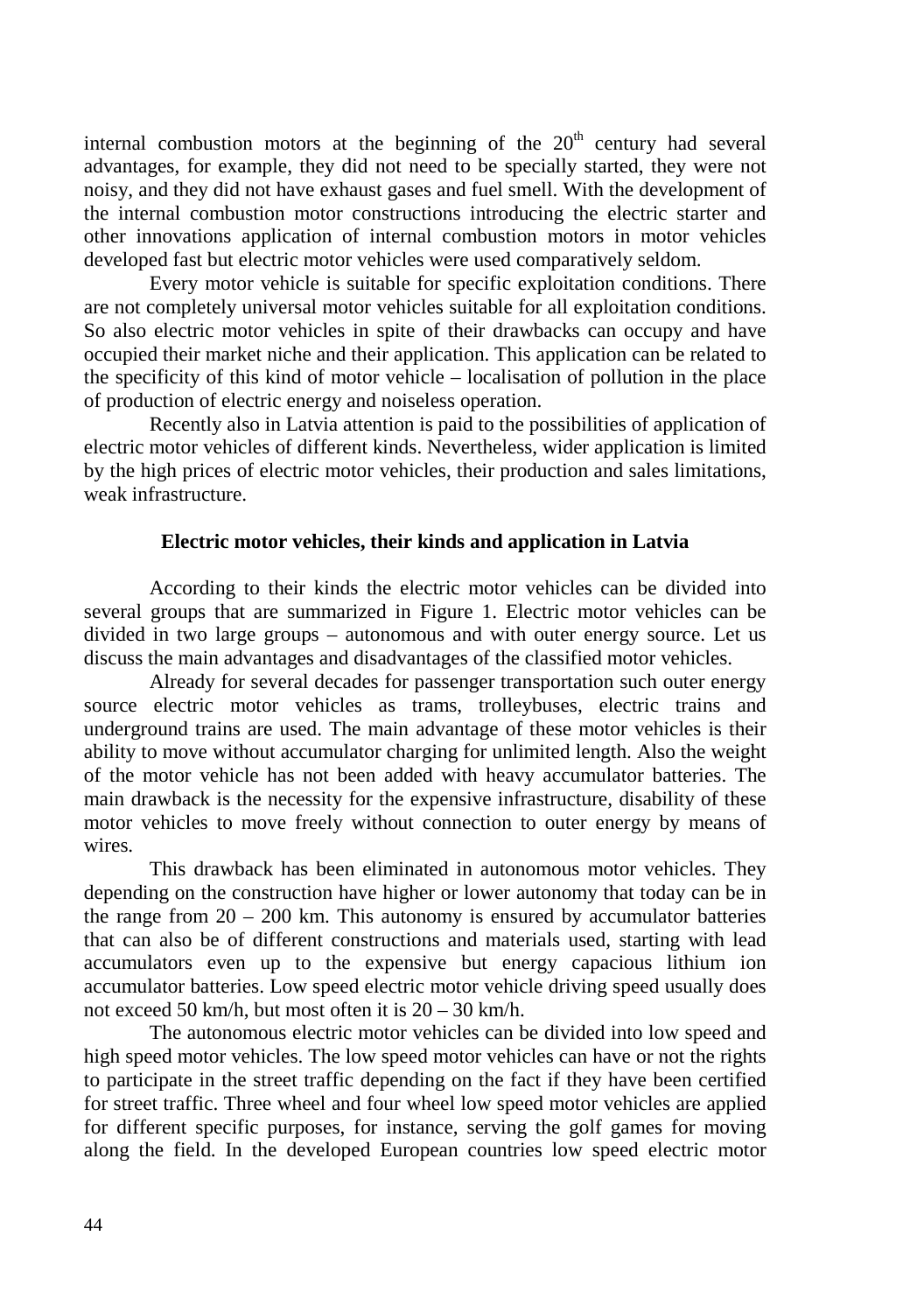internal combustion motors at the beginning of the  $20<sup>th</sup>$  century had several advantages, for example, they did not need to be specially started, they were not noisy, and they did not have exhaust gases and fuel smell. With the development of the internal combustion motor constructions introducing the electric starter and other innovations application of internal combustion motors in motor vehicles developed fast but electric motor vehicles were used comparatively seldom.

Every motor vehicle is suitable for specific exploitation conditions. There are not completely universal motor vehicles suitable for all exploitation conditions. So also electric motor vehicles in spite of their drawbacks can occupy and have occupied their market niche and their application. This application can be related to the specificity of this kind of motor vehicle – localisation of pollution in the place of production of electric energy and noiseless operation.

Recently also in Latvia attention is paid to the possibilities of application of electric motor vehicles of different kinds. Nevertheless, wider application is limited by the high prices of electric motor vehicles, their production and sales limitations, weak infrastructure.

#### **Electric motor vehicles, their kinds and application in Latvia**

According to their kinds the electric motor vehicles can be divided into several groups that are summarized in Figure 1. Electric motor vehicles can be divided in two large groups – autonomous and with outer energy source. Let us discuss the main advantages and disadvantages of the classified motor vehicles.

Already for several decades for passenger transportation such outer energy source electric motor vehicles as trams, trolleybuses, electric trains and underground trains are used. The main advantage of these motor vehicles is their ability to move without accumulator charging for unlimited length. Also the weight of the motor vehicle has not been added with heavy accumulator batteries. The main drawback is the necessity for the expensive infrastructure, disability of these motor vehicles to move freely without connection to outer energy by means of wires

This drawback has been eliminated in autonomous motor vehicles. They depending on the construction have higher or lower autonomy that today can be in the range from  $20 - 200$  km. This autonomy is ensured by accumulator batteries that can also be of different constructions and materials used, starting with lead accumulators even up to the expensive but energy capacious lithium ion accumulator batteries. Low speed electric motor vehicle driving speed usually does not exceed 50 km/h, but most often it is  $20 - 30$  km/h.

The autonomous electric motor vehicles can be divided into low speed and high speed motor vehicles. The low speed motor vehicles can have or not the rights to participate in the street traffic depending on the fact if they have been certified for street traffic. Three wheel and four wheel low speed motor vehicles are applied for different specific purposes, for instance, serving the golf games for moving along the field. In the developed European countries low speed electric motor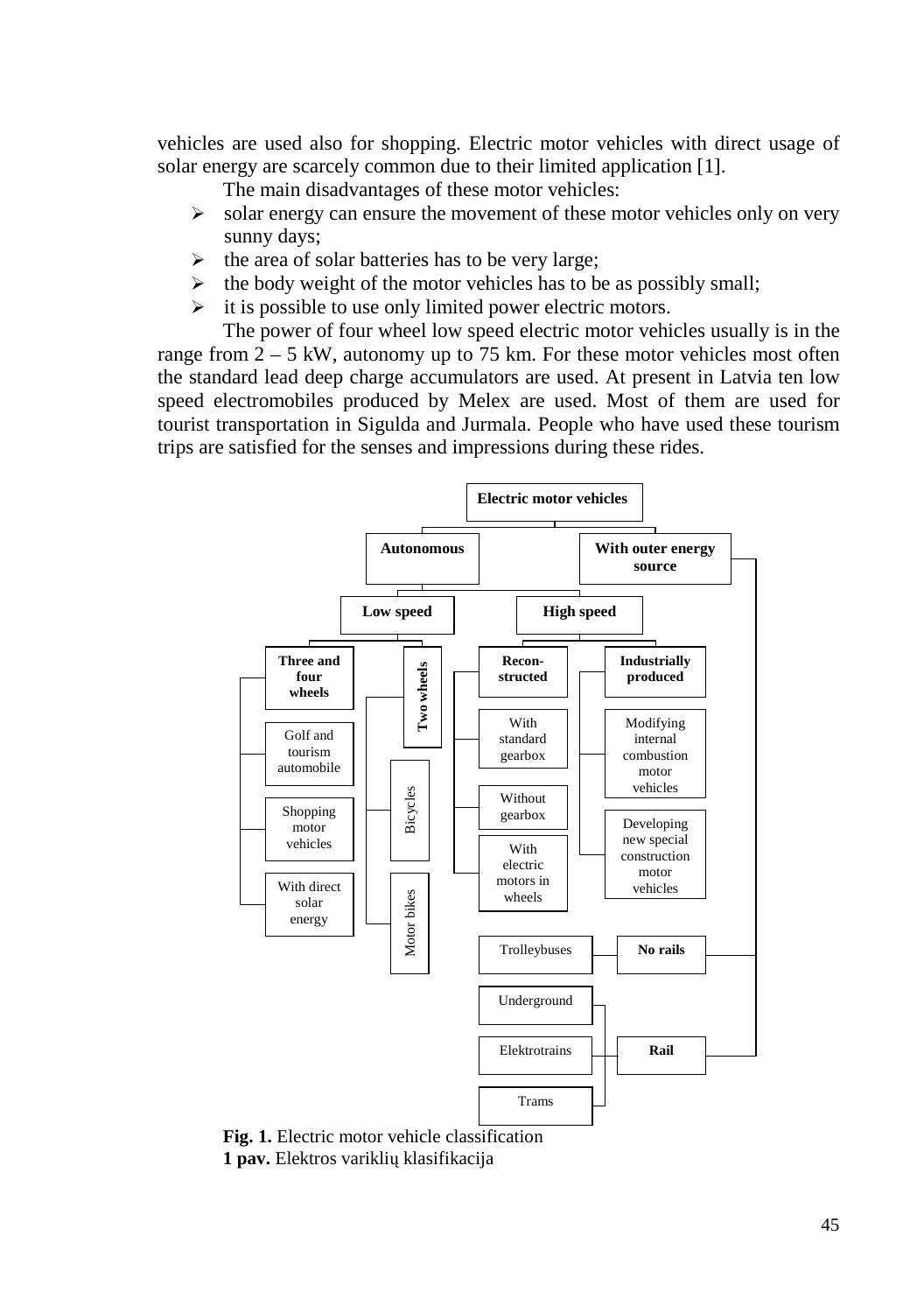vehicles are used also for shopping. Electric motor vehicles with direct usage of solar energy are scarcely common due to their limited application [1].

The main disadvantages of these motor vehicles:

- $\blacktriangleright$  solar energy can ensure the movement of these motor vehicles only on very sunny days;
- > the area of solar batteries has to be very large;
- $\triangleright$  the body weight of the motor vehicles has to be as possibly small;
- $\triangleright$  it is possible to use only limited power electric motors.

The power of four wheel low speed electric motor vehicles usually is in the range from  $2 - 5$  kW, autonomy up to 75 km. For these motor vehicles most often the standard lead deep charge accumulators are used. At present in Latvia ten low speed electromobiles produced by Melex are used. Most of them are used for tourist transportation in Sigulda and Jurmala. People who have used these tourism trips are satisfied for the senses and impressions during these rides.



**Fig. 1.** Electric motor vehicle classification **1 pav.** Elektros variklių klasifikacija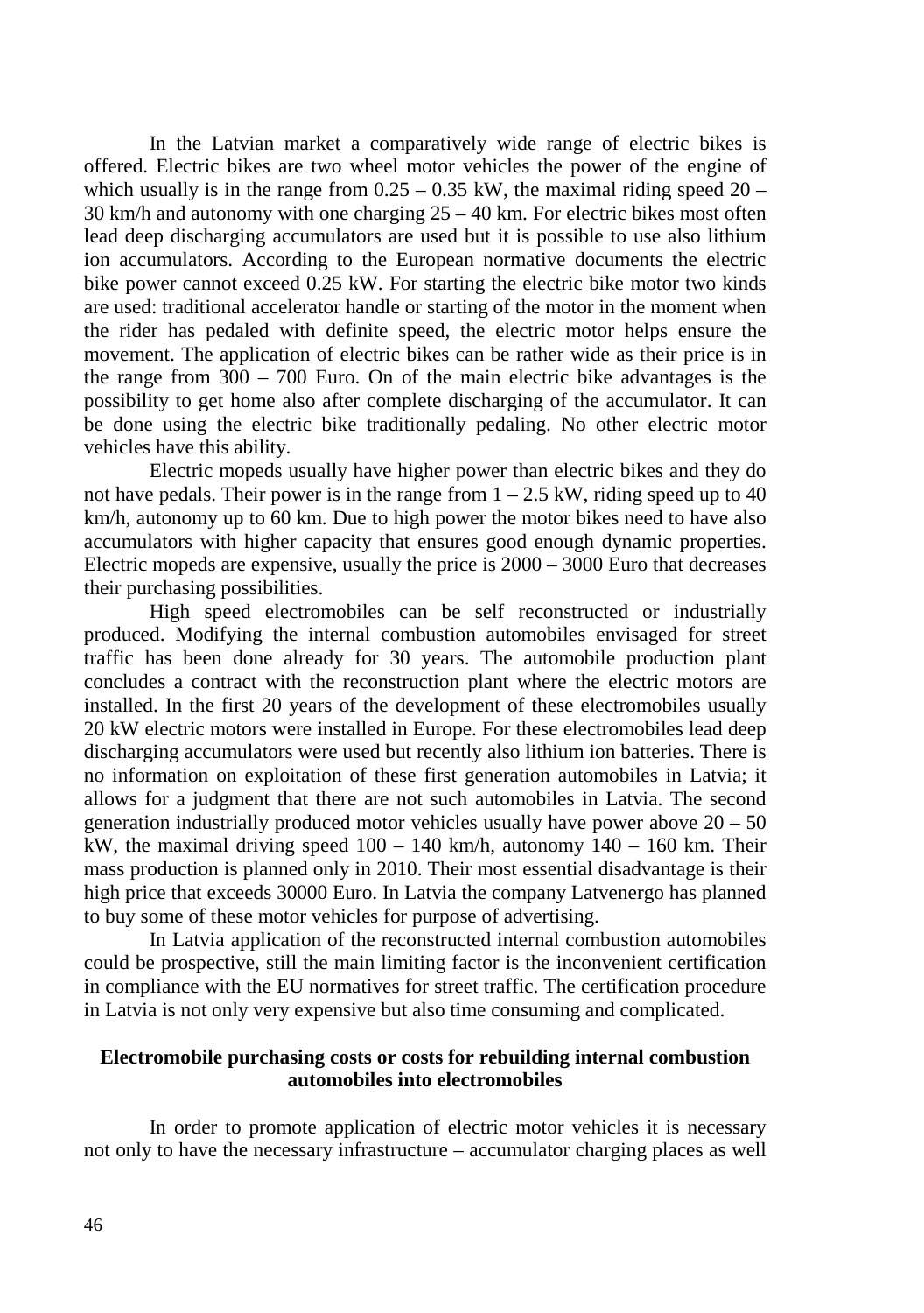In the Latvian market a comparatively wide range of electric bikes is offered. Electric bikes are two wheel motor vehicles the power of the engine of which usually is in the range from  $0.25 - 0.35$  kW, the maximal riding speed  $20 -$ 30 km/h and autonomy with one charging 25 – 40 km. For electric bikes most often lead deep discharging accumulators are used but it is possible to use also lithium ion accumulators. According to the European normative documents the electric bike power cannot exceed 0.25 kW. For starting the electric bike motor two kinds are used: traditional accelerator handle or starting of the motor in the moment when the rider has pedaled with definite speed, the electric motor helps ensure the movement. The application of electric bikes can be rather wide as their price is in the range from 300 – 700 Euro. On of the main electric bike advantages is the possibility to get home also after complete discharging of the accumulator. It can be done using the electric bike traditionally pedaling. No other electric motor vehicles have this ability.

Electric mopeds usually have higher power than electric bikes and they do not have pedals. Their power is in the range from  $1 - 2.5$  kW, riding speed up to 40 km/h, autonomy up to 60 km. Due to high power the motor bikes need to have also accumulators with higher capacity that ensures good enough dynamic properties. Electric mopeds are expensive, usually the price is  $2000 - 3000$  Euro that decreases their purchasing possibilities.

High speed electromobiles can be self reconstructed or industrially produced. Modifying the internal combustion automobiles envisaged for street traffic has been done already for 30 years. The automobile production plant concludes a contract with the reconstruction plant where the electric motors are installed. In the first 20 years of the development of these electromobiles usually 20 kW electric motors were installed in Europe. For these electromobiles lead deep discharging accumulators were used but recently also lithium ion batteries. There is no information on exploitation of these first generation automobiles in Latvia; it allows for a judgment that there are not such automobiles in Latvia. The second generation industrially produced motor vehicles usually have power above  $20 - 50$ kW, the maximal driving speed  $100 - 140$  km/h, autonomy  $140 - 160$  km. Their mass production is planned only in 2010. Their most essential disadvantage is their high price that exceeds 30000 Euro. In Latvia the company Latvenergo has planned to buy some of these motor vehicles for purpose of advertising.

In Latvia application of the reconstructed internal combustion automobiles could be prospective, still the main limiting factor is the inconvenient certification in compliance with the EU normatives for street traffic. The certification procedure in Latvia is not only very expensive but also time consuming and complicated.

# **Electromobile purchasing costs or costs for rebuilding internal combustion automobiles into electromobiles**

In order to promote application of electric motor vehicles it is necessary not only to have the necessary infrastructure – accumulator charging places as well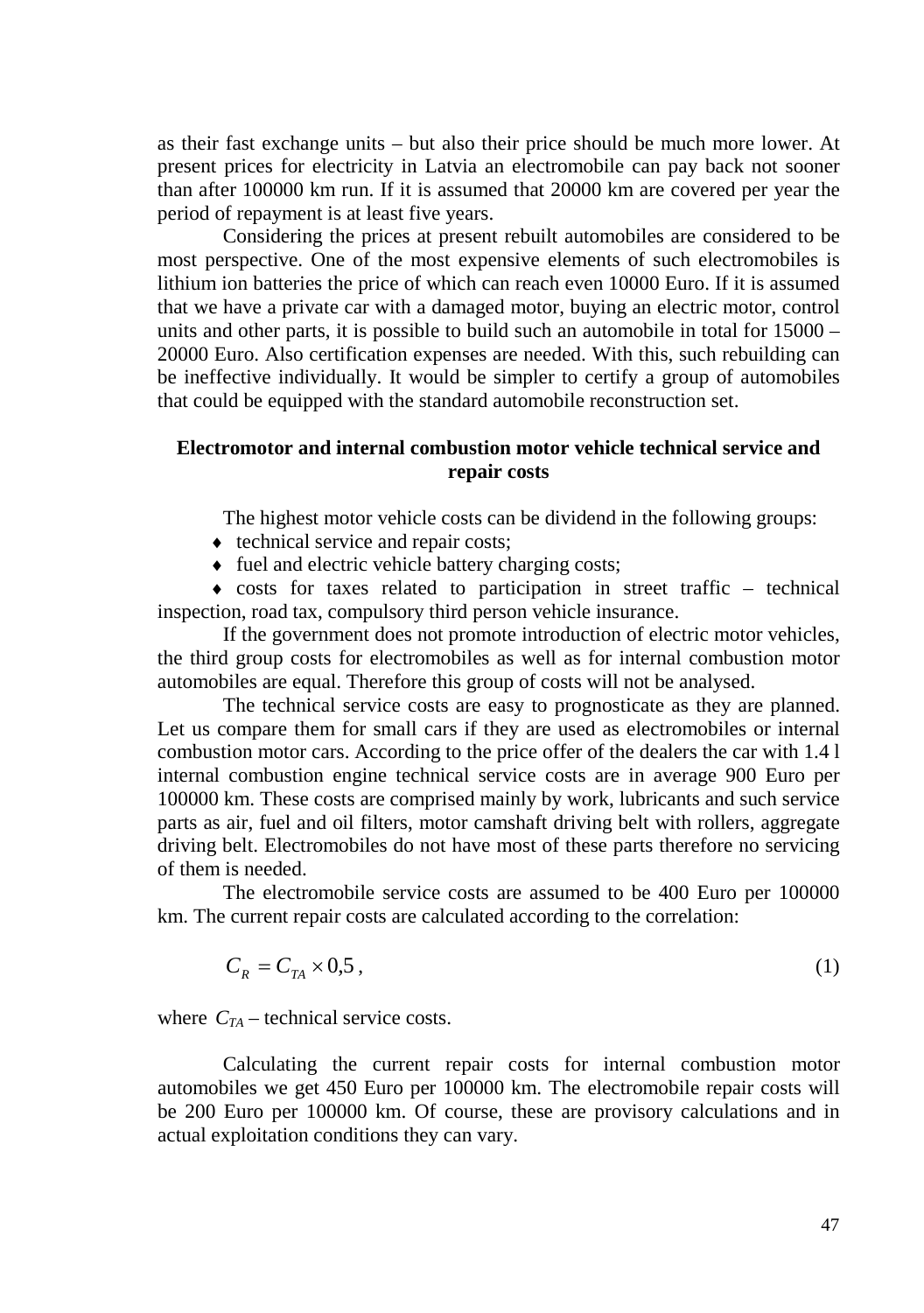as their fast exchange units – but also their price should be much more lower. At present prices for electricity in Latvia an electromobile can pay back not sooner than after 100000 km run. If it is assumed that 20000 km are covered per year the period of repayment is at least five years.

Considering the prices at present rebuilt automobiles are considered to be most perspective. One of the most expensive elements of such electromobiles is lithium ion batteries the price of which can reach even 10000 Euro. If it is assumed that we have a private car with a damaged motor, buying an electric motor, control units and other parts, it is possible to build such an automobile in total for  $15000 -$ 20000 Euro. Also certification expenses are needed. With this, such rebuilding can be ineffective individually. It would be simpler to certify a group of automobiles that could be equipped with the standard automobile reconstruction set.

# **Electromotor and internal combustion motor vehicle technical service and repair costs**

The highest motor vehicle costs can be dividend in the following groups:

- $\bullet$  technical service and repair costs;
- ♦ fuel and electric vehicle battery charging costs;

 $\bullet$  costs for taxes related to participation in street traffic – technical inspection, road tax, compulsory third person vehicle insurance.

If the government does not promote introduction of electric motor vehicles, the third group costs for electromobiles as well as for internal combustion motor automobiles are equal. Therefore this group of costs will not be analysed.

The technical service costs are easy to prognosticate as they are planned. Let us compare them for small cars if they are used as electromobiles or internal combustion motor cars. According to the price offer of the dealers the car with 1.4 l internal combustion engine technical service costs are in average 900 Euro per 100000 km. These costs are comprised mainly by work, lubricants and such service parts as air, fuel and oil filters, motor camshaft driving belt with rollers, aggregate driving belt. Electromobiles do not have most of these parts therefore no servicing of them is needed.

The electromobile service costs are assumed to be 400 Euro per 100000 km. The current repair costs are calculated according to the correlation:

$$
C_R = C_{TA} \times 0.5 \tag{1}
$$

where  $C_{TA}$  – technical service costs.

Calculating the current repair costs for internal combustion motor automobiles we get 450 Euro per 100000 km. The electromobile repair costs will be 200 Euro per 100000 km. Of course, these are provisory calculations and in actual exploitation conditions they can vary.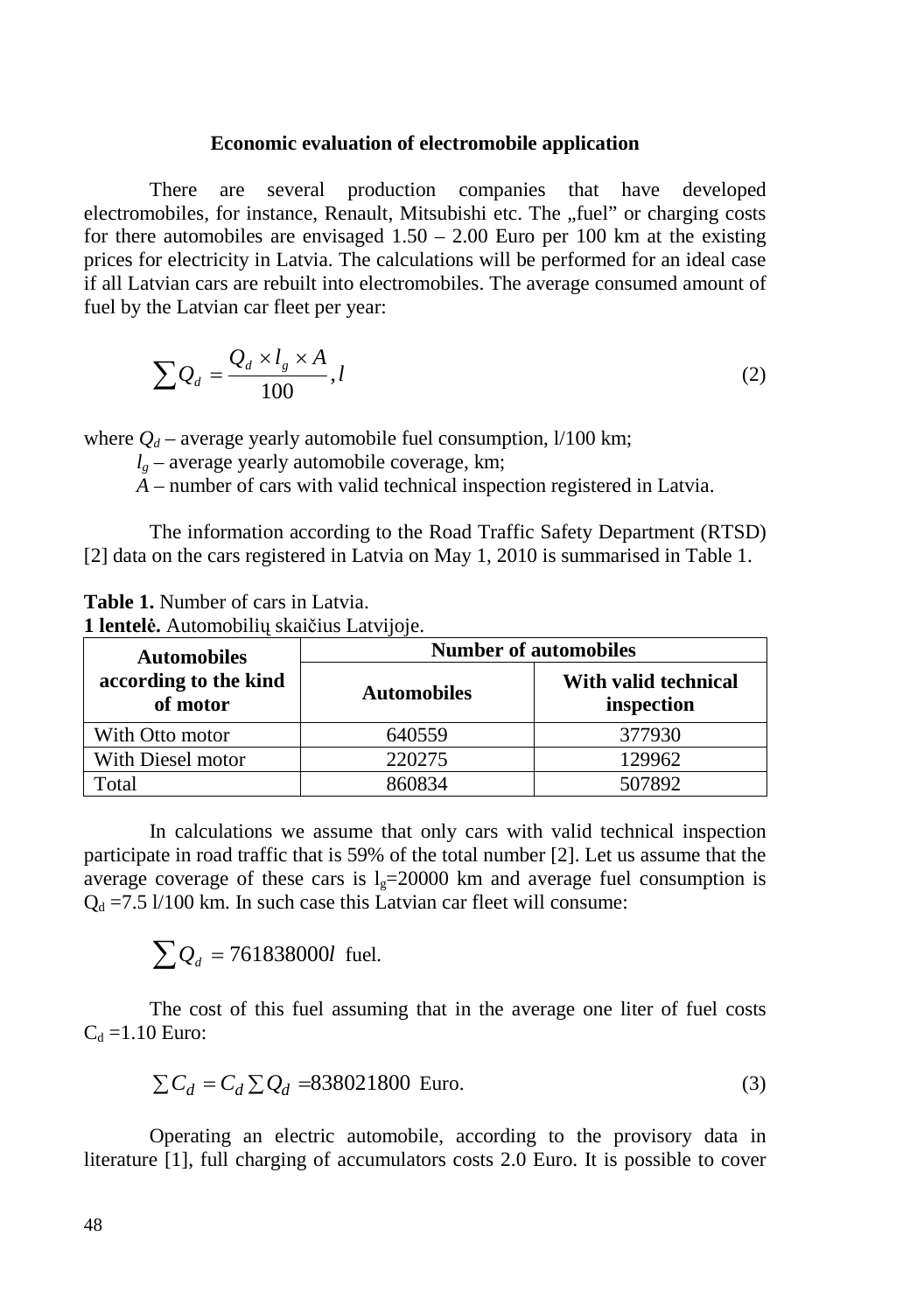# **Economic evaluation of electromobile application**

There are several production companies that have developed electromobiles, for instance, Renault, Mitsubishi etc. The "fuel" or charging costs for there automobiles are envisaged  $1.50 - 2.00$  Euro per 100 km at the existing prices for electricity in Latvia. The calculations will be performed for an ideal case if all Latvian cars are rebuilt into electromobiles. The average consumed amount of fuel by the Latvian car fleet per year:

$$
\sum Q_d = \frac{Q_d \times l_g \times A}{100}, l \tag{2}
$$

where  $Q_d$  – average yearly automobile fuel consumption,  $1/100$  km;

 $l_g$  – average yearly automobile coverage, km;

*A* – number of cars with valid technical inspection registered in Latvia.

The information according to the Road Traffic Safety Department (RTSD) [2] data on the cars registered in Latvia on May 1, 2010 is summarised in Table 1.

**Table 1.** Number of cars in Latvia.

**1 lentelė.** Automobilių skaičius Latvijoje.

| <b>Automobiles</b>                | <b>Number of automobiles</b> |                                    |  |  |
|-----------------------------------|------------------------------|------------------------------------|--|--|
| according to the kind<br>of motor | <b>Automobiles</b>           | With valid technical<br>inspection |  |  |
| With Otto motor                   | 640559                       | 377930                             |  |  |
| With Diesel motor                 | 220275                       | 129962                             |  |  |
| Total                             | 860834                       | 507892                             |  |  |

In calculations we assume that only cars with valid technical inspection participate in road traffic that is 59% of the total number [2]. Let us assume that the average coverage of these cars is  $l<sub>g</sub>=20000$  km and average fuel consumption is  $Q_d = 7.5$  1/100 km. In such case this Latvian car fleet will consume:

 $\sum Q_d = 761838000l$  fuel.

The cost of this fuel assuming that in the average one liter of fuel costs  $C_d = 1.10$  Euro:

$$
\sum C_d = C_d \sum Q_d = 838021800
$$
 Euro. (3)

Operating an electric automobile, according to the provisory data in literature [1], full charging of accumulators costs 2.0 Euro. It is possible to cover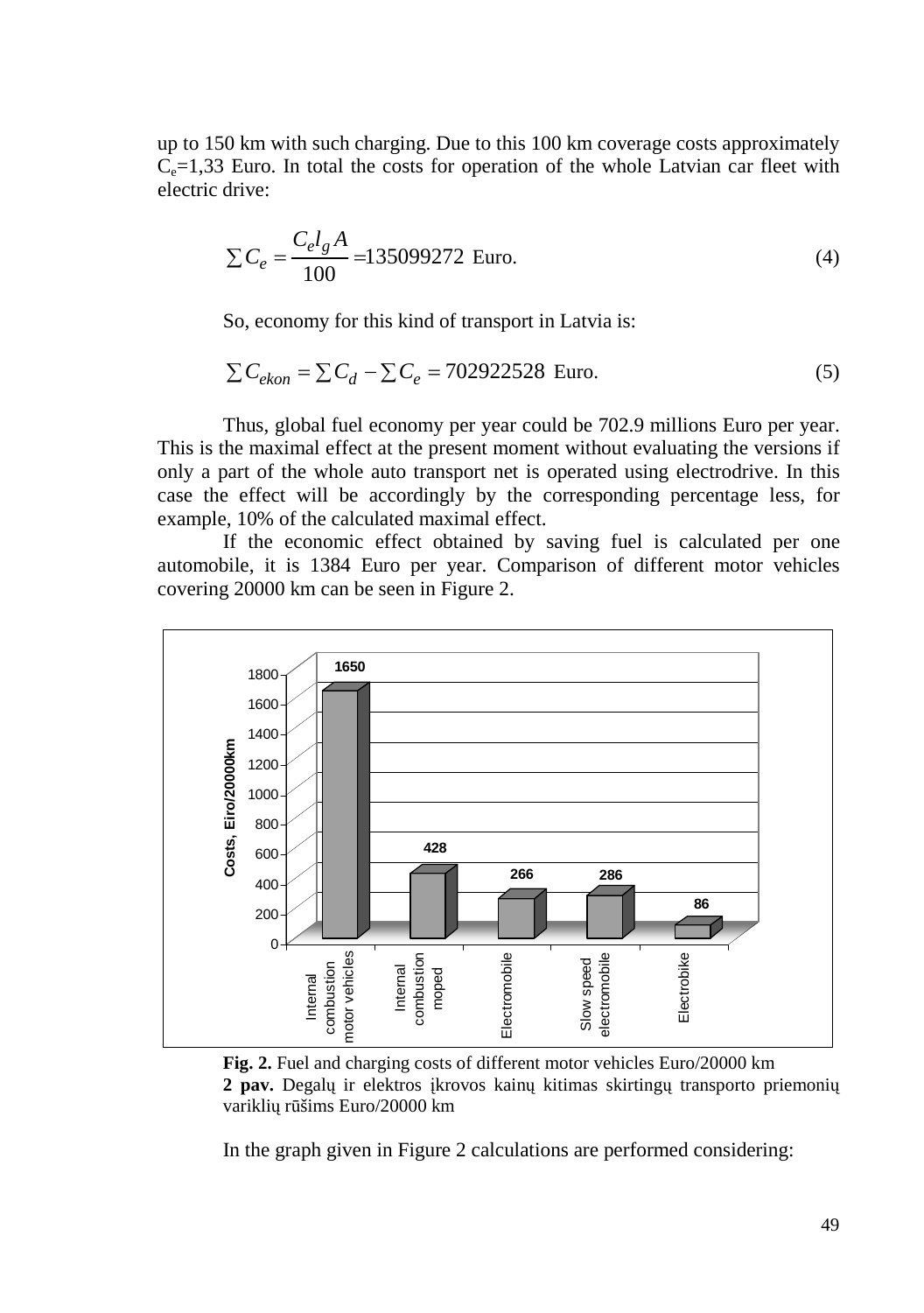up to 150 km with such charging. Due to this 100 km coverage costs approximately  $C_e$ =1,33 Euro. In total the costs for operation of the whole Latvian car fleet with electric drive:

$$
\sum C_e = \frac{C_e l_g A}{100} = 135099272 \text{ Euro.}
$$
 (4)

So, economy for this kind of transport in Latvia is:

$$
\sum C_{ekon} = \sum C_d - \sum C_e = 702922528
$$
 Euro. (5)

Thus, global fuel economy per year could be 702.9 millions Euro per year. This is the maximal effect at the present moment without evaluating the versions if only a part of the whole auto transport net is operated using electrodrive. In this case the effect will be accordingly by the corresponding percentage less, for example, 10% of the calculated maximal effect.

If the economic effect obtained by saving fuel is calculated per one automobile, it is 1384 Euro per year. Comparison of different motor vehicles covering 20000 km can be seen in Figure 2.



Fig. 2. Fuel and charging costs of different motor vehicles Euro/20000 km **2 pav.** Degalų ir elektros įkrovos kainų kitimas skirtingų transporto priemonių variklių rūšims Euro/20000 km

In the graph given in Figure 2 calculations are performed considering: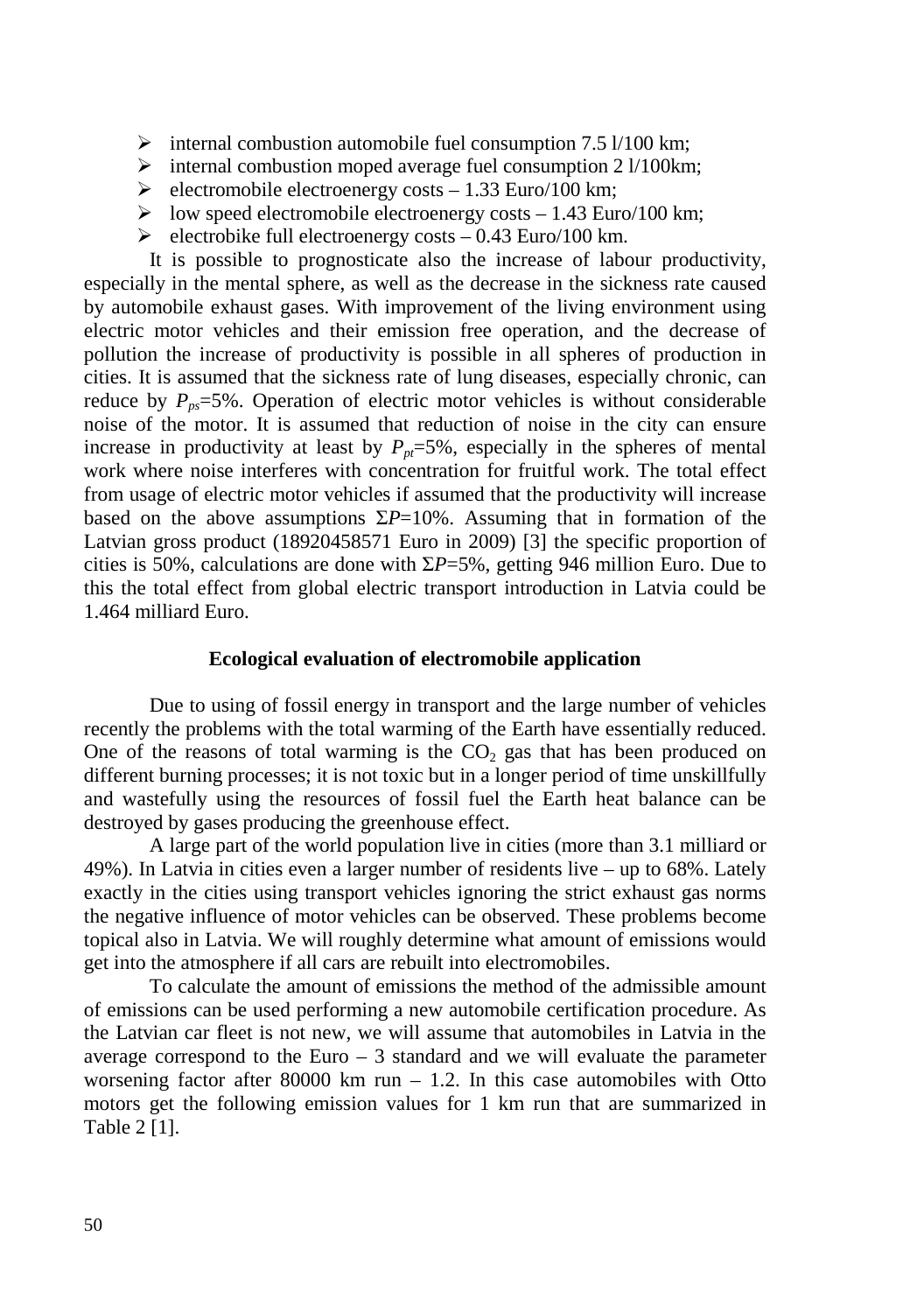- $\triangleright$  internal combustion automobile fuel consumption 7.5 l/100 km;
- > internal combustion moped average fuel consumption 2 l/100km;
- $\triangleright$  electromobile electroenergy costs 1.33 Euro/100 km;
- > low speed electromobile electroenergy costs 1.43 Euro/100 km;
- $\blacktriangleright$  electrobike full electroenergy costs 0.43 Euro/100 km.

It is possible to prognosticate also the increase of labour productivity, especially in the mental sphere, as well as the decrease in the sickness rate caused by automobile exhaust gases. With improvement of the living environment using electric motor vehicles and their emission free operation, and the decrease of pollution the increase of productivity is possible in all spheres of production in cities. It is assumed that the sickness rate of lung diseases, especially chronic, can reduce by  $P_{p} = 5\%$ . Operation of electric motor vehicles is without considerable noise of the motor. It is assumed that reduction of noise in the city can ensure increase in productivity at least by  $P_{p} = 5\%$ , especially in the spheres of mental work where noise interferes with concentration for fruitful work. The total effect from usage of electric motor vehicles if assumed that the productivity will increase based on the above assumptions  $\Sigma P=10\%$ . Assuming that in formation of the Latvian gross product (18920458571 Euro in 2009) [3] the specific proportion of cities is 50%, calculations are done with Σ*P*=5%, getting 946 million Euro. Due to this the total effect from global electric transport introduction in Latvia could be 1.464 milliard Euro.

#### **Ecological evaluation of electromobile application**

Due to using of fossil energy in transport and the large number of vehicles recently the problems with the total warming of the Earth have essentially reduced. One of the reasons of total warming is the  $CO<sub>2</sub>$  gas that has been produced on different burning processes; it is not toxic but in a longer period of time unskillfully and wastefully using the resources of fossil fuel the Earth heat balance can be destroyed by gases producing the greenhouse effect.

A large part of the world population live in cities (more than 3.1 milliard or 49%). In Latvia in cities even a larger number of residents live – up to 68%. Lately exactly in the cities using transport vehicles ignoring the strict exhaust gas norms the negative influence of motor vehicles can be observed. These problems become topical also in Latvia. We will roughly determine what amount of emissions would get into the atmosphere if all cars are rebuilt into electromobiles.

To calculate the amount of emissions the method of the admissible amount of emissions can be used performing a new automobile certification procedure. As the Latvian car fleet is not new, we will assume that automobiles in Latvia in the average correspond to the Euro  $-3$  standard and we will evaluate the parameter worsening factor after 80000 km run  $-1.2$ . In this case automobiles with Otto motors get the following emission values for 1 km run that are summarized in Table 2 [1].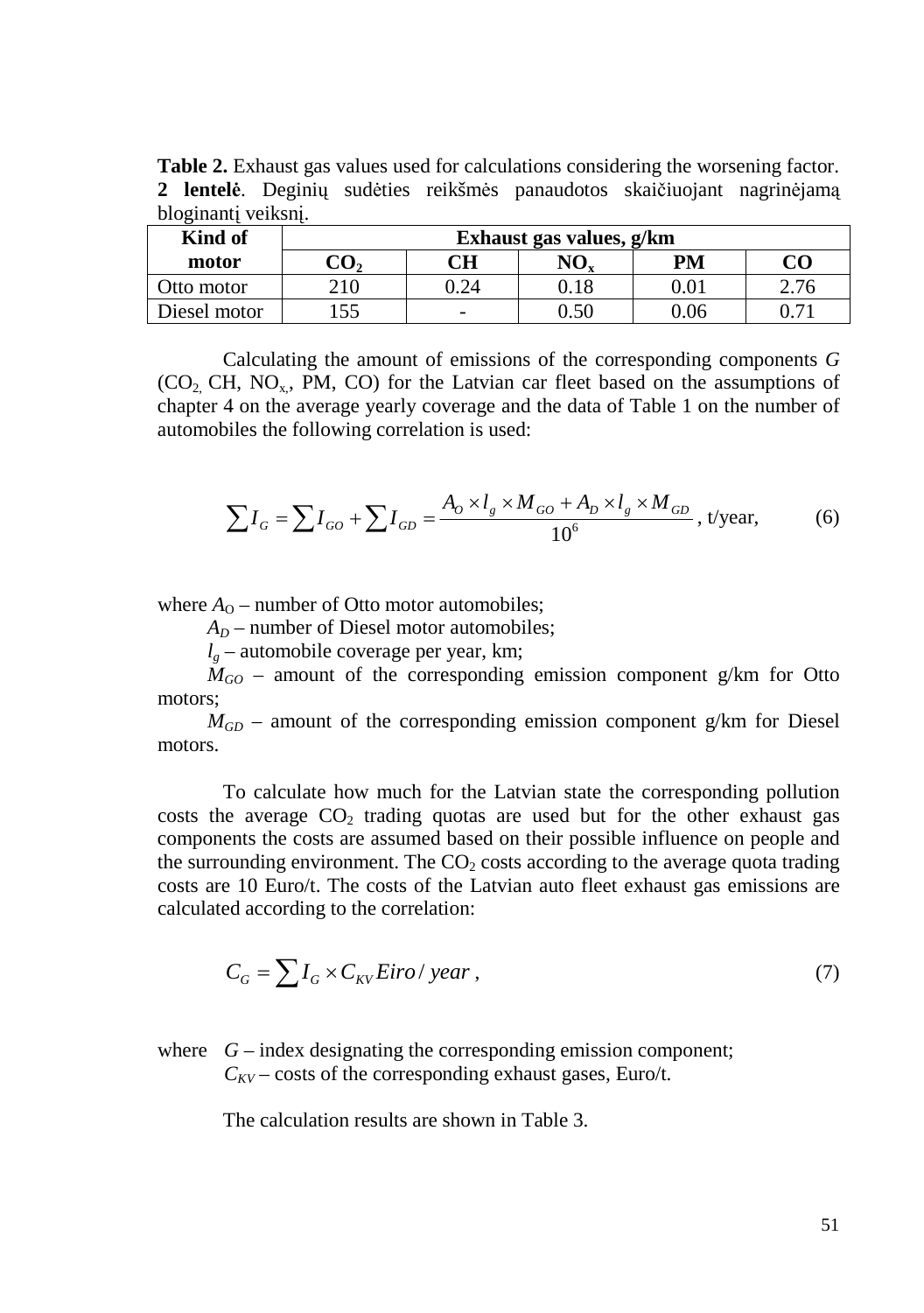**Table 2.** Exhaust gas values used for calculations considering the worsening factor. **2 lentelė**. Deginių sudėties reikšmės panaudotos skaičiuojant nagrinėjamą bloginantį veiksnį.

| Kind of      | Exhaust gas values, g/km |                          |                  |          |          |  |  |  |  |
|--------------|--------------------------|--------------------------|------------------|----------|----------|--|--|--|--|
| motor        | $\mathrm{CO}_2$          | $\mathbb C\mathbf H$     | $\rm NO_{\rm v}$ | PM       | CO       |  |  |  |  |
| Otto motor   | 210                      | 0.24                     | 0.18             | $0.01\,$ | 2.76     |  |  |  |  |
| Diesel motor | 155                      | $\overline{\phantom{a}}$ | 0.50             | 0.06     | $0.71\,$ |  |  |  |  |

Calculating the amount of emissions of the corresponding components *G*  $(CO<sub>2</sub>, CH, NO<sub>x</sub>, PM, CO)$  for the Latvian car fleet based on the assumptions of chapter 4 on the average yearly coverage and the data of Table 1 on the number of automobiles the following correlation is used:

$$
\sum I_G = \sum I_{GO} + \sum I_{GD} = \frac{A_O \times l_g \times M_{GO} + A_D \times l_g \times M_{GD}}{10^6}, \text{ t/year}, \tag{6}
$$

where  $A<sub>O</sub>$  – number of Otto motor automobiles;

 $A_D$  – number of Diesel motor automobiles;

 $l_g$  – automobile coverage per year, km;

 $M_{GO}$  – amount of the corresponding emission component g/km for Otto motors;

 $M_{GD}$  – amount of the corresponding emission component g/km for Diesel motors.

To calculate how much for the Latvian state the corresponding pollution costs the average  $CO<sub>2</sub>$  trading quotas are used but for the other exhaust gas components the costs are assumed based on their possible influence on people and the surrounding environment. The  $CO<sub>2</sub> \cos$ ts according to the average quota trading costs are 10 Euro/t. The costs of the Latvian auto fleet exhaust gas emissions are calculated according to the correlation:

$$
C_G = \sum I_G \times C_{KV} Eiro / year , \qquad (7)
$$

# where  $G$  – index designating the corresponding emission component;  $C_{\text{KV}}$  – costs of the corresponding exhaust gases, Euro/t.

The calculation results are shown in Table 3.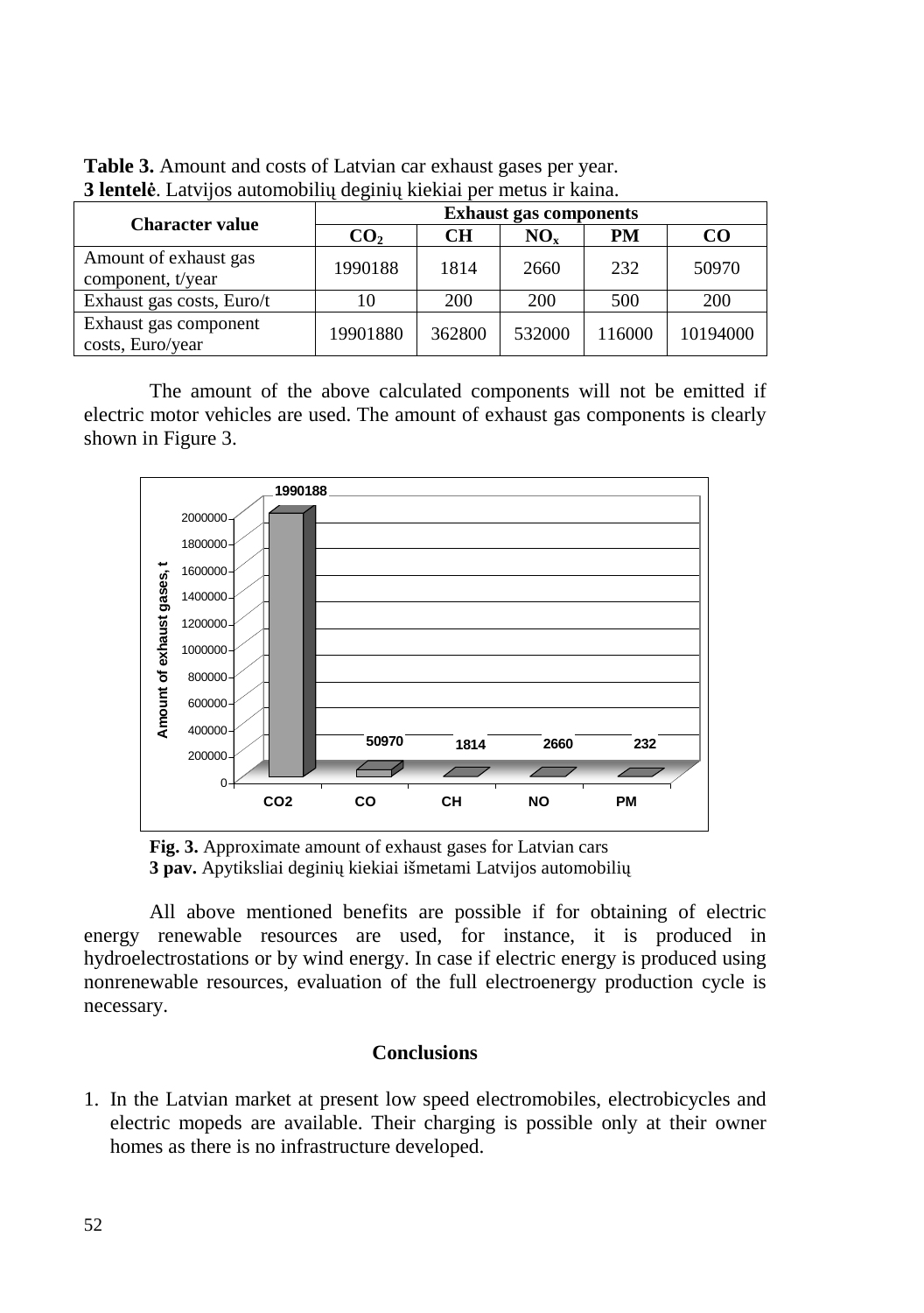| <b>Character value</b>                     | <b>Exhaust gas components</b> |           |          |        |          |
|--------------------------------------------|-------------------------------|-----------|----------|--------|----------|
|                                            | CO <sub>2</sub>               | <b>CH</b> | $NO_{v}$ | PM     | CO       |
| Amount of exhaust gas<br>component, t/year | 1990188                       | 1814      | 2660     | 232    | 50970    |
| Exhaust gas costs, Euro/t                  |                               | 200       | 200      | 500    | 200      |
| Exhaust gas component<br>costs, Euro/year  | 19901880                      | 362800    | 532000   | 116000 | 10194000 |

**Table 3.** Amount and costs of Latvian car exhaust gases per year. **3 lentelė**. Latvijos automobilių deginių kiekiai per metus ir kaina.

The amount of the above calculated components will not be emitted if electric motor vehicles are used. The amount of exhaust gas components is clearly shown in Figure 3.



**Fig. 3.** Approximate amount of exhaust gases for Latvian cars **3 pav.** Apytiksliai deginių kiekiai išmetami Latvijos automobilių

All above mentioned benefits are possible if for obtaining of electric energy renewable resources are used, for instance, it is produced in hydroelectrostations or by wind energy. In case if electric energy is produced using nonrenewable resources, evaluation of the full electroenergy production cycle is necessary.

## **Conclusions**

1. In the Latvian market at present low speed electromobiles, electrobicycles and electric mopeds are available. Their charging is possible only at their owner homes as there is no infrastructure developed.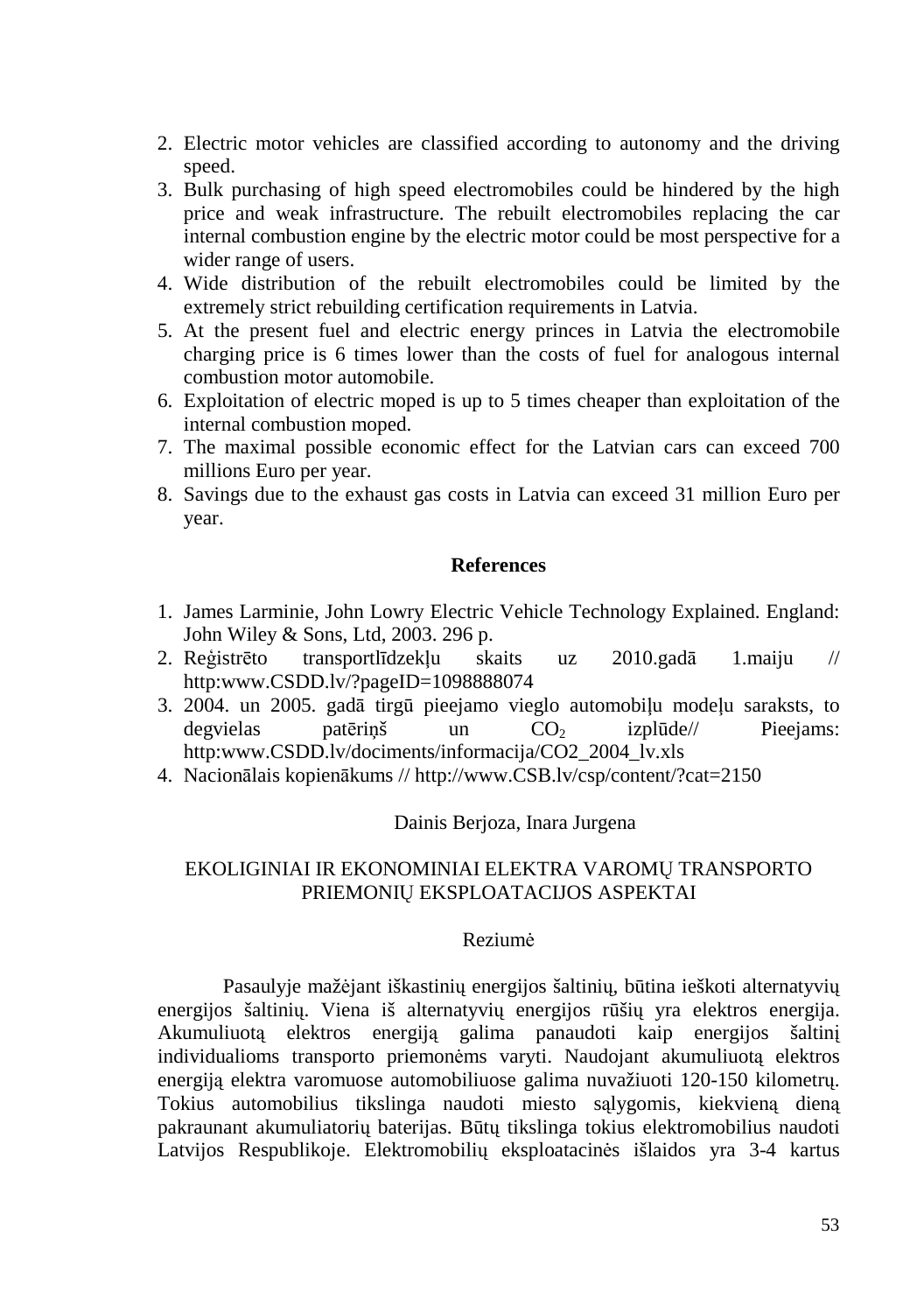- 2. Electric motor vehicles are classified according to autonomy and the driving speed.
- 3. Bulk purchasing of high speed electromobiles could be hindered by the high price and weak infrastructure. The rebuilt electromobiles replacing the car internal combustion engine by the electric motor could be most perspective for a wider range of users.
- 4. Wide distribution of the rebuilt electromobiles could be limited by the extremely strict rebuilding certification requirements in Latvia.
- 5. At the present fuel and electric energy princes in Latvia the electromobile charging price is 6 times lower than the costs of fuel for analogous internal combustion motor automobile.
- 6. Exploitation of electric moped is up to 5 times cheaper than exploitation of the internal combustion moped.
- 7. The maximal possible economic effect for the Latvian cars can exceed 700 millions Euro per year.
- 8. Savings due to the exhaust gas costs in Latvia can exceed 31 million Euro per year.

## **References**

- 1. James Larminie, John Lowry Electric Vehicle Technology Explained. England: John Wiley & Sons, Ltd, 2003. 296 p.
- 2. Reģistrēto transportlīdzekļu skaits uz 2010.gadā 1.maiju // http:www.CSDD.lv/?pageID=1098888074
- 3. 2004. un 2005. gadā tirgū pieejamo vieglo automobiļu modeļu saraksts, to degvielas patēriņš un  $CO<sub>2</sub>$  izplūde// Pieejams: http:www.CSDD.lv/dociments/informacija/CO2\_2004\_lv.xls
- 4. Nacionālais kopienākums // http://www.CSB.lv/csp/content/?cat=2150

# Dainis Berjoza, Inara Jurgena

# EKOLIGINIAI IR EKONOMINIAI ELEKTRA VAROMŲ TRANSPORTO PRIEMONIŲ EKSPLOATACIJOS ASPEKTAI

## Reziumė

Pasaulyje mažėjant iškastinių energijos šaltinių, būtina ieškoti alternatyvių energijos šaltinių. Viena iš alternatyvių energijos rūšių yra elektros energija. Akumuliuotą elektros energiją galima panaudoti kaip energijos šaltinį individualioms transporto priemonėms varyti. Naudojant akumuliuotą elektros energiją elektra varomuose automobiliuose galima nuvažiuoti 120-150 kilometrų. Tokius automobilius tikslinga naudoti miesto sąlygomis, kiekvieną dieną pakraunant akumuliatorių baterijas. Būtų tikslinga tokius elektromobilius naudoti Latvijos Respublikoje. Elektromobilių eksploatacinės išlaidos yra 3-4 kartus